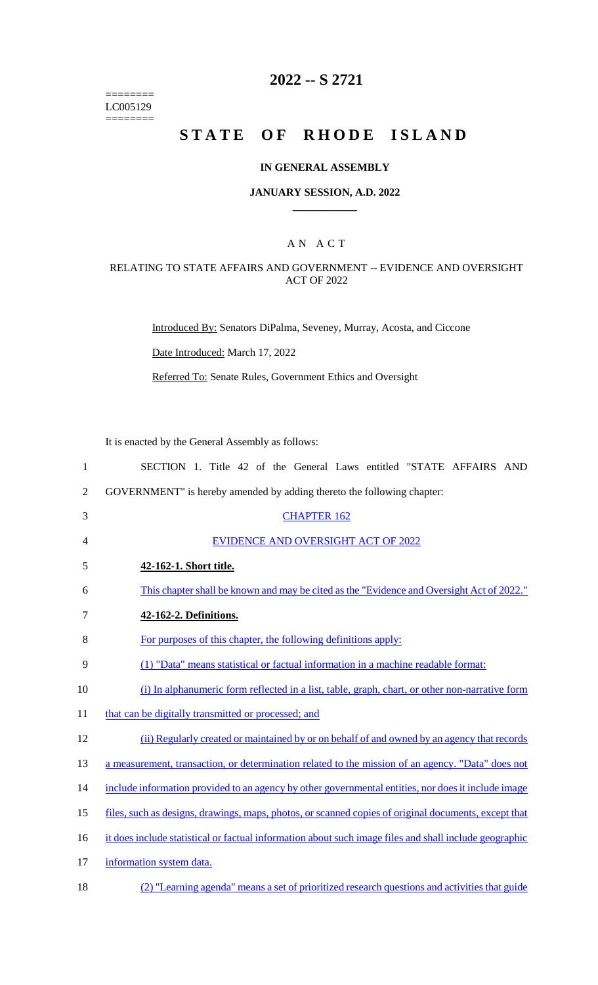======== LC005129 ========

#### **2022 -- S 2721**

### **STATE OF RHODE ISLAND**

#### **IN GENERAL ASSEMBLY**

#### **JANUARY SESSION, A.D. 2022 \_\_\_\_\_\_\_\_\_\_\_\_**

#### A N A C T

#### RELATING TO STATE AFFAIRS AND GOVERNMENT -- EVIDENCE AND OVERSIGHT ACT OF 2022

Introduced By: Senators DiPalma, Seveney, Murray, Acosta, and Ciccone

Date Introduced: March 17, 2022

Referred To: Senate Rules, Government Ethics and Oversight

It is enacted by the General Assembly as follows:

| $\mathbf{1}$   | SECTION 1. Title 42 of the General Laws entitled "STATE AFFAIRS AND                                    |
|----------------|--------------------------------------------------------------------------------------------------------|
| $\overline{2}$ | GOVERNMENT" is hereby amended by adding thereto the following chapter:                                 |
| 3              | <b>CHAPTER 162</b>                                                                                     |
| 4              | EVIDENCE AND OVERSIGHT ACT OF 2022                                                                     |
| 5              | 42-162-1. Short title.                                                                                 |
| 6              | This chapter shall be known and may be cited as the "Evidence and Oversight Act of 2022."              |
| 7              | 42-162-2. Definitions.                                                                                 |
| 8              | For purposes of this chapter, the following definitions apply:                                         |
| 9              | (1) "Data" means statistical or factual information in a machine readable format:                      |
| 10             | (i) In alphanumeric form reflected in a list, table, graph, chart, or other non-narrative form         |
| 11             | that can be digitally transmitted or processed; and                                                    |
| 12             | (ii) Regularly created or maintained by or on behalf of and owned by an agency that records            |
| 13             | a measurement, transaction, or determination related to the mission of an agency. "Data" does not      |
| 14             | include information provided to an agency by other governmental entities, nor does it include image    |
| 15             | files, such as designs, drawings, maps, photos, or scanned copies of original documents, except that   |
| 16             | it does include statistical or factual information about such image files and shall include geographic |
| 17             | information system data.                                                                               |
| 18             | (2) "Learning agenda" means a set of prioritized research questions and activities that guide          |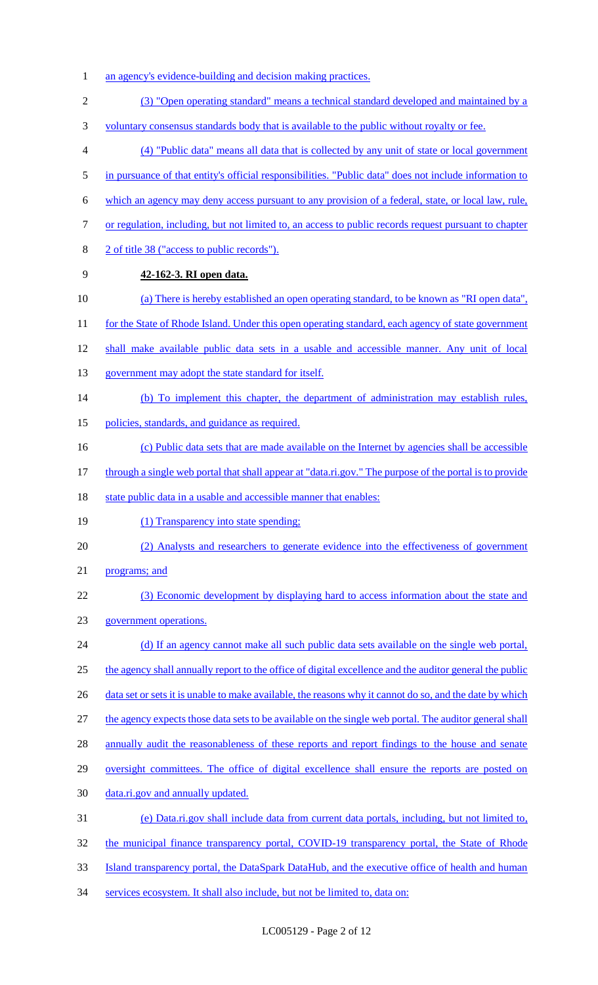- 1 an agency's evidence-building and decision making practices.
- 2 (3) "Open operating standard" means a technical standard developed and maintained by a
- 3 voluntary consensus standards body that is available to the public without royalty or fee.
- 4 (4) "Public data" means all data that is collected by any unit of state or local government
- 5 in pursuance of that entity's official responsibilities. "Public data" does not include information to
- 6 which an agency may deny access pursuant to any provision of a federal, state, or local law, rule,
- 7 or regulation, including, but not limited to, an access to public records request pursuant to chapter
- 8 2 of title 38 ("access to public records").
- 9 **42-162-3. RI open data.**
- 10 (a) There is hereby established an open operating standard, to be known as "RI open data",
- 11 for the State of Rhode Island. Under this open operating standard, each agency of state government
- 12 shall make available public data sets in a usable and accessible manner. Any unit of local
- 13 government may adopt the state standard for itself.
- 14 (b) To implement this chapter, the department of administration may establish rules,
- 15 policies, standards, and guidance as required.
- 16 (c) Public data sets that are made available on the Internet by agencies shall be accessible
- 17 through a single web portal that shall appear at "data.ri.gov." The purpose of the portal is to provide
- 18 state public data in a usable and accessible manner that enables:
- 19 (1) Transparency into state spending;
- 20 (2) Analysts and researchers to generate evidence into the effectiveness of government
- 21 programs; and
- 22 (3) Economic development by displaying hard to access information about the state and
- 23 government operations.
- 24 (d) If an agency cannot make all such public data sets available on the single web portal, 25 the agency shall annually report to the office of digital excellence and the auditor general the public 26 data set or sets it is unable to make available, the reasons why it cannot do so, and the date by which 27 the agency expects those data sets to be available on the single web portal. The auditor general shall
- 28 annually audit the reasonableness of these reports and report findings to the house and senate
- 29 oversight committees. The office of digital excellence shall ensure the reports are posted on
- 30 data.ri.gov and annually updated.
- 31 (e) Data.ri.gov shall include data from current data portals, including, but not limited to,
- 32 the municipal finance transparency portal, COVID-19 transparency portal, the State of Rhode
- 33 Island transparency portal, the DataSpark DataHub, and the executive office of health and human
- 34 services ecosystem. It shall also include, but not be limited to, data on: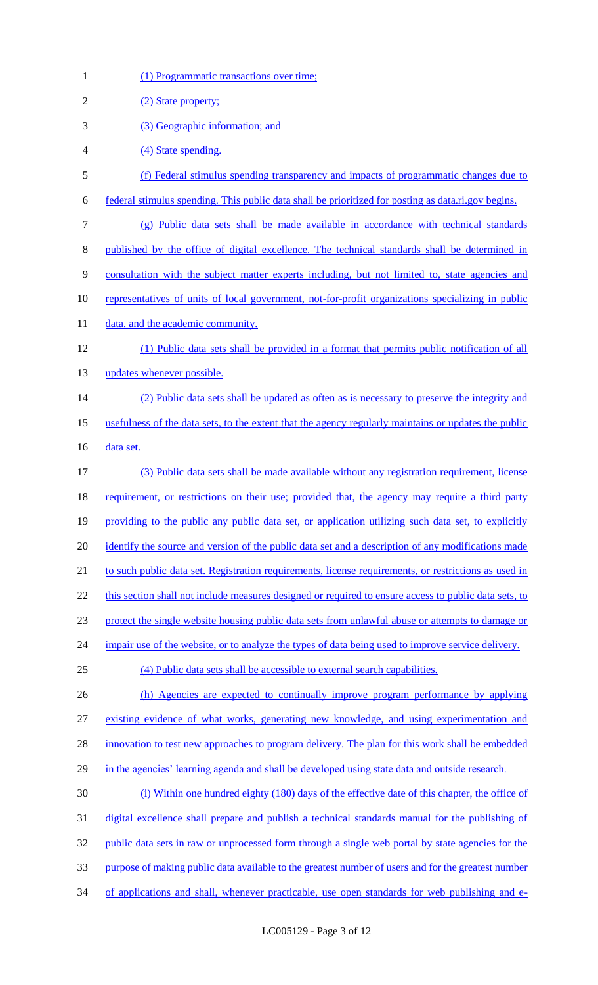| $\mathbf{1}$   | (1) Programmatic transactions over time;                                                              |
|----------------|-------------------------------------------------------------------------------------------------------|
| $\overline{2}$ | (2) State property;                                                                                   |
| 3              | (3) Geographic information; and                                                                       |
| 4              | (4) State spending.                                                                                   |
| 5              | (f) Federal stimulus spending transparency and impacts of programmatic changes due to                 |
| 6              | federal stimulus spending. This public data shall be prioritized for posting as data.ri.gov begins.   |
| $\tau$         | (g) Public data sets shall be made available in accordance with technical standards                   |
| 8              | published by the office of digital excellence. The technical standards shall be determined in         |
| 9              | consultation with the subject matter experts including, but not limited to, state agencies and        |
| 10             | representatives of units of local government, not-for-profit organizations specializing in public     |
| 11             | data, and the academic community.                                                                     |
| 12             | (1) Public data sets shall be provided in a format that permits public notification of all            |
| 13             | updates whenever possible.                                                                            |
| 14             | (2) Public data sets shall be updated as often as is necessary to preserve the integrity and          |
| 15             | usefulness of the data sets, to the extent that the agency regularly maintains or updates the public  |
| 16             | data set.                                                                                             |
| 17             | (3) Public data sets shall be made available without any registration requirement, license            |
| 18             | requirement, or restrictions on their use; provided that, the agency may require a third party        |
| 19             | providing to the public any public data set, or application utilizing such data set, to explicitly    |
| 20             | identify the source and version of the public data set and a description of any modifications made    |
| 21             | to such public data set. Registration requirements, license requirements, or restrictions as used in  |
| 22             | this section shall not include measures designed or required to ensure access to public data sets, to |
| 23             | protect the single website housing public data sets from unlawful abuse or attempts to damage or      |
| 24             | impair use of the website, or to analyze the types of data being used to improve service delivery.    |
| 25             | (4) Public data sets shall be accessible to external search capabilities.                             |
| 26             | (h) Agencies are expected to continually improve program performance by applying                      |
| 27             | existing evidence of what works, generating new knowledge, and using experimentation and              |
| 28             | innovation to test new approaches to program delivery. The plan for this work shall be embedded       |
| 29             | in the agencies' learning agenda and shall be developed using state data and outside research.        |
| 30             | (i) Within one hundred eighty (180) days of the effective date of this chapter, the office of         |
| 31             | digital excellence shall prepare and publish a technical standards manual for the publishing of       |
| 32             | public data sets in raw or unprocessed form through a single web portal by state agencies for the     |
| 33             | purpose of making public data available to the greatest number of users and for the greatest number   |
| 34             | of applications and shall, whenever practicable, use open standards for web publishing and e-         |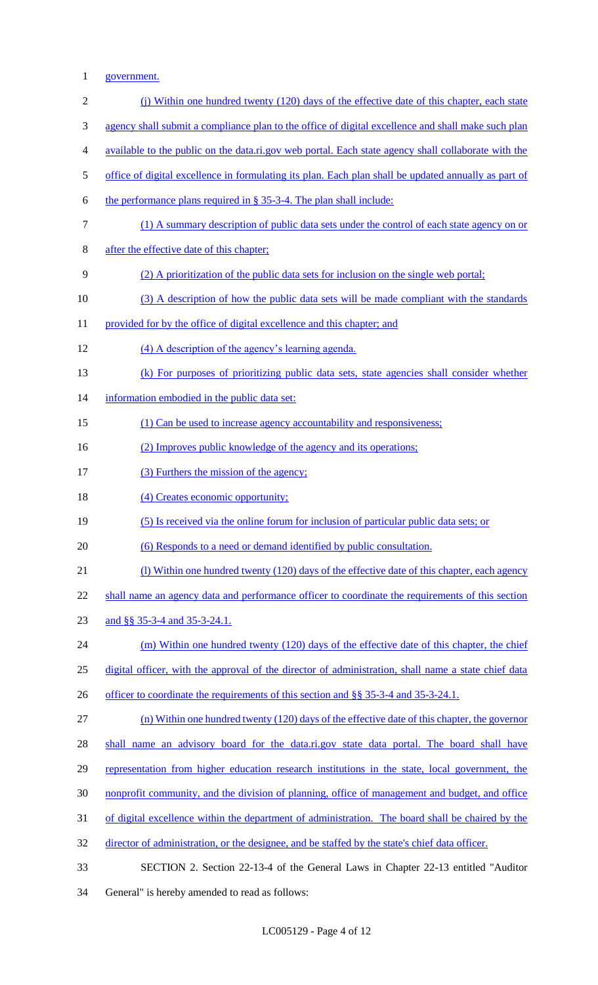1 government.

| $\mathbf{2}$     | (i) Within one hundred twenty (120) days of the effective date of this chapter, each state           |
|------------------|------------------------------------------------------------------------------------------------------|
| 3                | agency shall submit a compliance plan to the office of digital excellence and shall make such plan   |
| $\overline{4}$   | available to the public on the data.ri.gov web portal. Each state agency shall collaborate with the  |
| 5                | office of digital excellence in formulating its plan. Each plan shall be updated annually as part of |
| 6                | the performance plans required in § 35-3-4. The plan shall include:                                  |
| $\boldsymbol{7}$ | (1) A summary description of public data sets under the control of each state agency on or           |
| $8\,$            | after the effective date of this chapter;                                                            |
| 9                | (2) A prioritization of the public data sets for inclusion on the single web portal;                 |
| 10               | (3) A description of how the public data sets will be made compliant with the standards              |
| 11               | provided for by the office of digital excellence and this chapter; and                               |
| 12               | (4) A description of the agency's learning agenda.                                                   |
| 13               | (k) For purposes of prioritizing public data sets, state agencies shall consider whether             |
| 14               | information embodied in the public data set:                                                         |
| 15               | (1) Can be used to increase agency accountability and responsiveness;                                |
| 16               | (2) Improves public knowledge of the agency and its operations;                                      |
| 17               | (3) Furthers the mission of the agency;                                                              |
| 18               | (4) Creates economic opportunity;                                                                    |
| 19               | (5) Is received via the online forum for inclusion of particular public data sets; or                |
| 20               | (6) Responds to a need or demand identified by public consultation.                                  |
| 21               | (1) Within one hundred twenty (120) days of the effective date of this chapter, each agency          |
| 22               | shall name an agency data and performance officer to coordinate the requirements of this section     |
| 23               | and §§ 35-3-4 and 35-3-24.1.                                                                         |
| 24               | (m) Within one hundred twenty (120) days of the effective date of this chapter, the chief            |
| 25               | digital officer, with the approval of the director of administration, shall name a state chief data  |
| 26               | officer to coordinate the requirements of this section and §§ 35-3-4 and 35-3-24.1.                  |
| 27               | $(n)$ Within one hundred twenty $(120)$ days of the effective date of this chapter, the governor     |
| 28               | shall name an advisory board for the data.ri.gov state data portal. The board shall have             |
| 29               | representation from higher education research institutions in the state, local government, the       |
| 30               | nonprofit community, and the division of planning, office of management and budget, and office       |
| 31               | of digital excellence within the department of administration. The board shall be chaired by the     |
| 32               | director of administration, or the designee, and be staffed by the state's chief data officer.       |
| 33               | SECTION 2. Section 22-13-4 of the General Laws in Chapter 22-13 entitled "Auditor"                   |

34 General" is hereby amended to read as follows: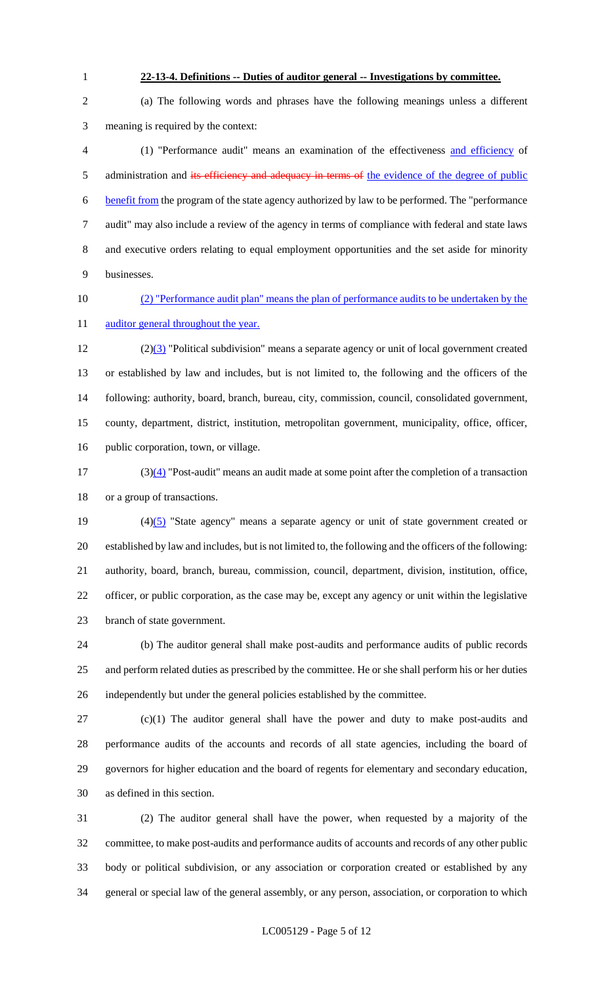#### **22-13-4. Definitions -- Duties of auditor general -- Investigations by committee.**

 (a) The following words and phrases have the following meanings unless a different meaning is required by the context:

 (1) "Performance audit" means an examination of the effectiveness and efficiency of 5 administration and its efficiency and adequacy in terms of the evidence of the degree of public benefit from the program of the state agency authorized by law to be performed. The "performance audit" may also include a review of the agency in terms of compliance with federal and state laws and executive orders relating to equal employment opportunities and the set aside for minority businesses.

## (2) "Performance audit plan" means the plan of performance audits to be undertaken by the 11 auditor general throughout the year.

 $(2)(3)$  "Political subdivision" means a separate agency or unit of local government created or established by law and includes, but is not limited to, the following and the officers of the following: authority, board, branch, bureau, city, commission, council, consolidated government, county, department, district, institution, metropolitan government, municipality, office, officer, public corporation, town, or village.

 (3)(4) "Post-audit" means an audit made at some point after the completion of a transaction or a group of transactions.

 $(4)(5)$  "State agency" means a separate agency or unit of state government created or established by law and includes, but is not limited to, the following and the officers of the following: authority, board, branch, bureau, commission, council, department, division, institution, office, officer, or public corporation, as the case may be, except any agency or unit within the legislative branch of state government.

 (b) The auditor general shall make post-audits and performance audits of public records and perform related duties as prescribed by the committee. He or she shall perform his or her duties independently but under the general policies established by the committee.

 (c)(1) The auditor general shall have the power and duty to make post-audits and performance audits of the accounts and records of all state agencies, including the board of governors for higher education and the board of regents for elementary and secondary education, as defined in this section.

 (2) The auditor general shall have the power, when requested by a majority of the committee, to make post-audits and performance audits of accounts and records of any other public body or political subdivision, or any association or corporation created or established by any general or special law of the general assembly, or any person, association, or corporation to which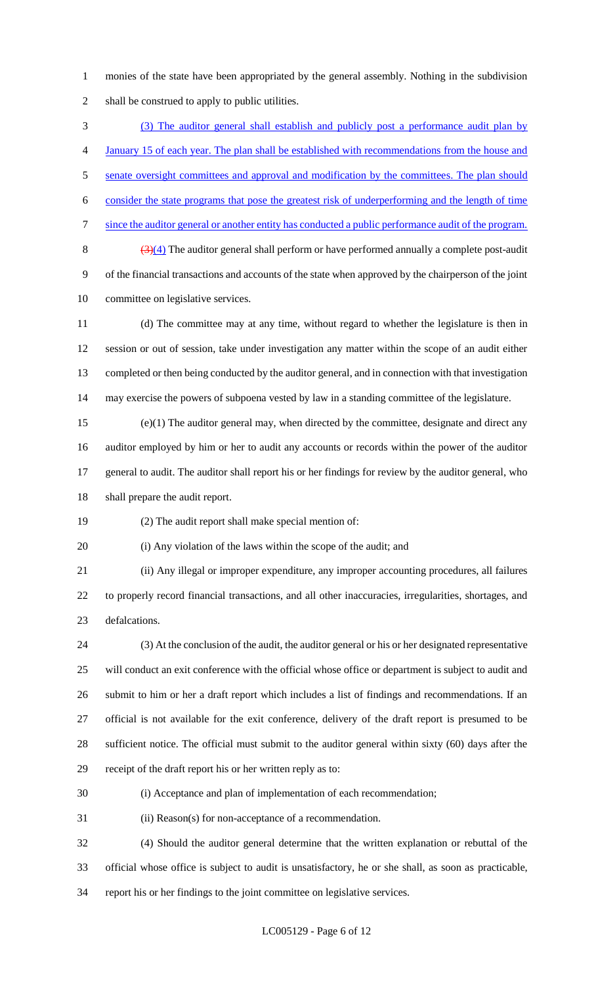monies of the state have been appropriated by the general assembly. Nothing in the subdivision shall be construed to apply to public utilities.

 (3) The auditor general shall establish and publicly post a performance audit plan by January 15 of each year. The plan shall be established with recommendations from the house and 5 senate oversight committees and approval and modification by the committees. The plan should consider the state programs that pose the greatest risk of underperforming and the length of time since the auditor general or another entity has conducted a public performance audit of the program.  $\frac{(3)(4)}{1}$  The auditor general shall perform or have performed annually a complete post-audit of the financial transactions and accounts of the state when approved by the chairperson of the joint committee on legislative services.

 (d) The committee may at any time, without regard to whether the legislature is then in session or out of session, take under investigation any matter within the scope of an audit either completed or then being conducted by the auditor general, and in connection with that investigation may exercise the powers of subpoena vested by law in a standing committee of the legislature.

 (e)(1) The auditor general may, when directed by the committee, designate and direct any auditor employed by him or her to audit any accounts or records within the power of the auditor general to audit. The auditor shall report his or her findings for review by the auditor general, who shall prepare the audit report.

(2) The audit report shall make special mention of:

(i) Any violation of the laws within the scope of the audit; and

 (ii) Any illegal or improper expenditure, any improper accounting procedures, all failures to properly record financial transactions, and all other inaccuracies, irregularities, shortages, and defalcations.

 (3) At the conclusion of the audit, the auditor general or his or her designated representative will conduct an exit conference with the official whose office or department is subject to audit and submit to him or her a draft report which includes a list of findings and recommendations. If an official is not available for the exit conference, delivery of the draft report is presumed to be sufficient notice. The official must submit to the auditor general within sixty (60) days after the receipt of the draft report his or her written reply as to:

(i) Acceptance and plan of implementation of each recommendation;

(ii) Reason(s) for non-acceptance of a recommendation.

 (4) Should the auditor general determine that the written explanation or rebuttal of the official whose office is subject to audit is unsatisfactory, he or she shall, as soon as practicable, report his or her findings to the joint committee on legislative services.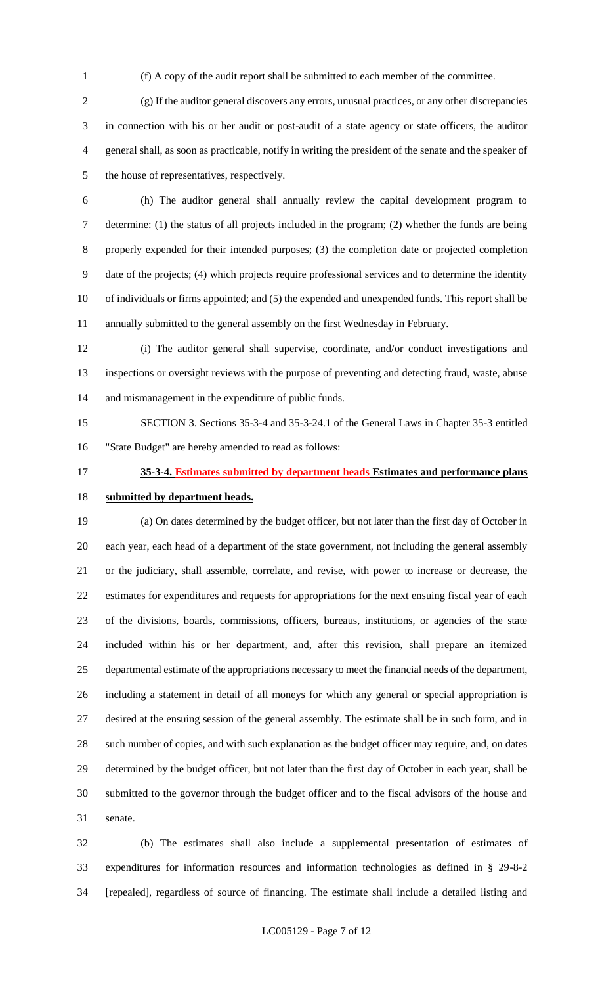(f) A copy of the audit report shall be submitted to each member of the committee.

 (g) If the auditor general discovers any errors, unusual practices, or any other discrepancies in connection with his or her audit or post-audit of a state agency or state officers, the auditor general shall, as soon as practicable, notify in writing the president of the senate and the speaker of the house of representatives, respectively.

 (h) The auditor general shall annually review the capital development program to determine: (1) the status of all projects included in the program; (2) whether the funds are being properly expended for their intended purposes; (3) the completion date or projected completion date of the projects; (4) which projects require professional services and to determine the identity of individuals or firms appointed; and (5) the expended and unexpended funds. This report shall be annually submitted to the general assembly on the first Wednesday in February.

 (i) The auditor general shall supervise, coordinate, and/or conduct investigations and inspections or oversight reviews with the purpose of preventing and detecting fraud, waste, abuse and mismanagement in the expenditure of public funds.

 SECTION 3. Sections 35-3-4 and 35-3-24.1 of the General Laws in Chapter 35-3 entitled "State Budget" are hereby amended to read as follows:

# **35-3-4. Estimates submitted by department heads Estimates and performance plans**

#### **submitted by department heads.**

 (a) On dates determined by the budget officer, but not later than the first day of October in each year, each head of a department of the state government, not including the general assembly or the judiciary, shall assemble, correlate, and revise, with power to increase or decrease, the estimates for expenditures and requests for appropriations for the next ensuing fiscal year of each of the divisions, boards, commissions, officers, bureaus, institutions, or agencies of the state included within his or her department, and, after this revision, shall prepare an itemized departmental estimate of the appropriations necessary to meet the financial needs of the department, including a statement in detail of all moneys for which any general or special appropriation is desired at the ensuing session of the general assembly. The estimate shall be in such form, and in such number of copies, and with such explanation as the budget officer may require, and, on dates determined by the budget officer, but not later than the first day of October in each year, shall be submitted to the governor through the budget officer and to the fiscal advisors of the house and senate.

 (b) The estimates shall also include a supplemental presentation of estimates of expenditures for information resources and information technologies as defined in § 29-8-2 [repealed], regardless of source of financing. The estimate shall include a detailed listing and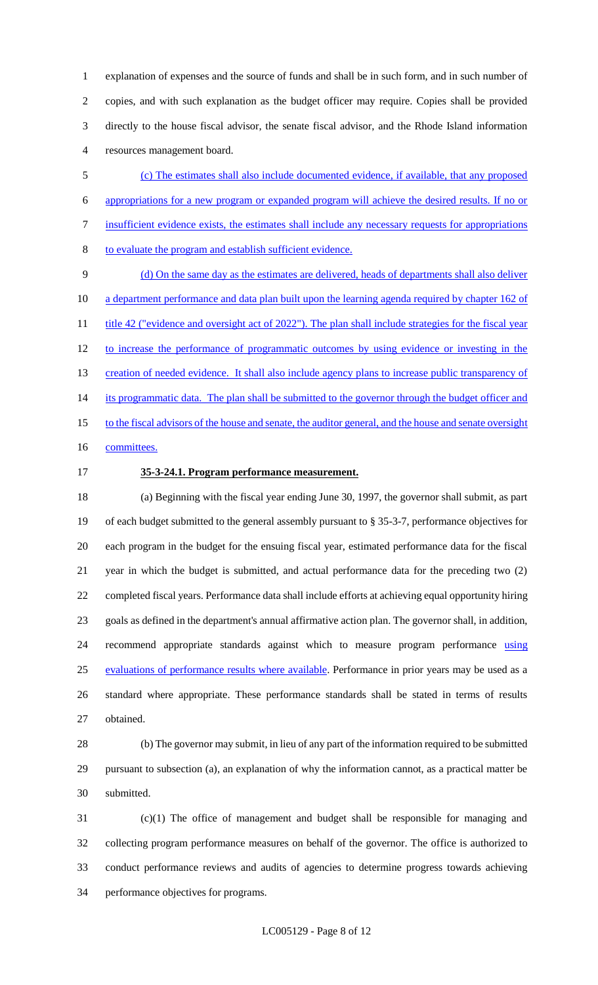explanation of expenses and the source of funds and shall be in such form, and in such number of copies, and with such explanation as the budget officer may require. Copies shall be provided directly to the house fiscal advisor, the senate fiscal advisor, and the Rhode Island information resources management board.

 (c) The estimates shall also include documented evidence, if available, that any proposed appropriations for a new program or expanded program will achieve the desired results. If no or insufficient evidence exists, the estimates shall include any necessary requests for appropriations to evaluate the program and establish sufficient evidence.

 (d) On the same day as the estimates are delivered, heads of departments shall also deliver 10 a department performance and data plan built upon the learning agenda required by chapter 162 of 11 title 42 ("evidence and oversight act of 2022"). The plan shall include strategies for the fiscal year to increase the performance of programmatic outcomes by using evidence or investing in the 13 creation of needed evidence. It shall also include agency plans to increase public transparency of 14 its programmatic data. The plan shall be submitted to the governor through the budget officer and 15 to the fiscal advisors of the house and senate, the auditor general, and the house and senate oversight 16 committees.

#### **35-3-24.1. Program performance measurement.**

 (a) Beginning with the fiscal year ending June 30, 1997, the governor shall submit, as part of each budget submitted to the general assembly pursuant to § 35-3-7, performance objectives for each program in the budget for the ensuing fiscal year, estimated performance data for the fiscal year in which the budget is submitted, and actual performance data for the preceding two (2) completed fiscal years. Performance data shall include efforts at achieving equal opportunity hiring goals as defined in the department's annual affirmative action plan. The governor shall, in addition, 24 recommend appropriate standards against which to measure program performance using 25 evaluations of performance results where available. Performance in prior years may be used as a standard where appropriate. These performance standards shall be stated in terms of results obtained.

 (b) The governor may submit, in lieu of any part of the information required to be submitted pursuant to subsection (a), an explanation of why the information cannot, as a practical matter be submitted.

 (c)(1) The office of management and budget shall be responsible for managing and collecting program performance measures on behalf of the governor. The office is authorized to conduct performance reviews and audits of agencies to determine progress towards achieving performance objectives for programs.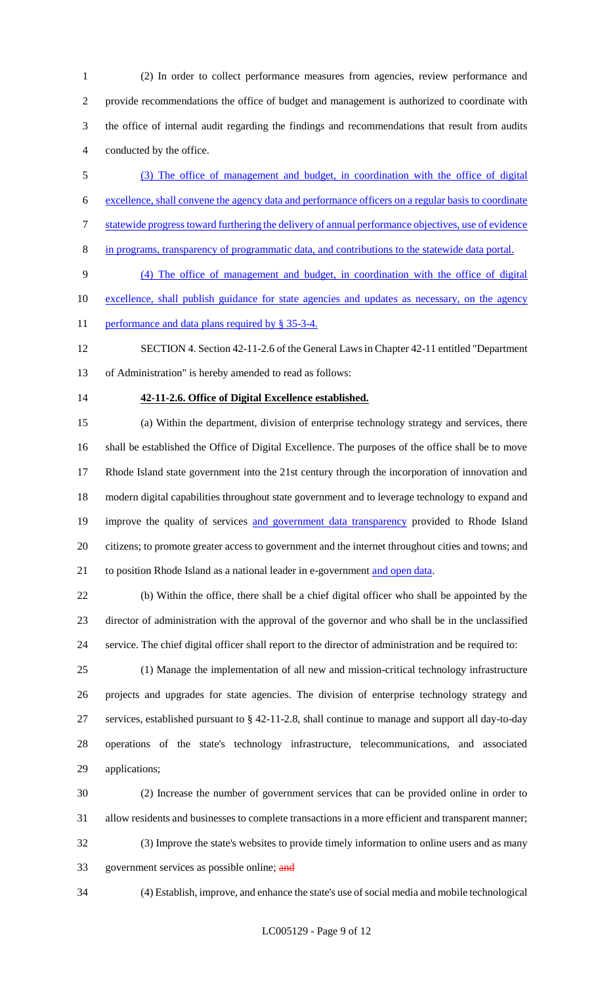(2) In order to collect performance measures from agencies, review performance and provide recommendations the office of budget and management is authorized to coordinate with the office of internal audit regarding the findings and recommendations that result from audits conducted by the office.

- (3) The office of management and budget, in coordination with the office of digital excellence, shall convene the agency data and performance officers on a regular basis to coordinate statewide progress toward furthering the delivery of annual performance objectives, use of evidence
- in programs, transparency of programmatic data, and contributions to the statewide data portal.

 (4) The office of management and budget, in coordination with the office of digital 10 excellence, shall publish guidance for state agencies and updates as necessary, on the agency

11 performance and data plans required by § 35-3-4.

 SECTION 4. Section 42-11-2.6 of the General Laws in Chapter 42-11 entitled "Department of Administration" is hereby amended to read as follows:

#### **42-11-2.6. Office of Digital Excellence established.**

 (a) Within the department, division of enterprise technology strategy and services, there shall be established the Office of Digital Excellence. The purposes of the office shall be to move Rhode Island state government into the 21st century through the incorporation of innovation and modern digital capabilities throughout state government and to leverage technology to expand and 19 improve the quality of services and government data transparency provided to Rhode Island citizens; to promote greater access to government and the internet throughout cities and towns; and 21 to position Rhode Island as a national leader in e-government and open data.

 (b) Within the office, there shall be a chief digital officer who shall be appointed by the director of administration with the approval of the governor and who shall be in the unclassified service. The chief digital officer shall report to the director of administration and be required to:

 (1) Manage the implementation of all new and mission-critical technology infrastructure projects and upgrades for state agencies. The division of enterprise technology strategy and services, established pursuant to § 42-11-2.8, shall continue to manage and support all day-to-day operations of the state's technology infrastructure, telecommunications, and associated applications;

 (2) Increase the number of government services that can be provided online in order to allow residents and businesses to complete transactions in a more efficient and transparent manner; (3) Improve the state's websites to provide timely information to online users and as many 33 government services as possible online; and

(4) Establish, improve, and enhance the state's use of social media and mobile technological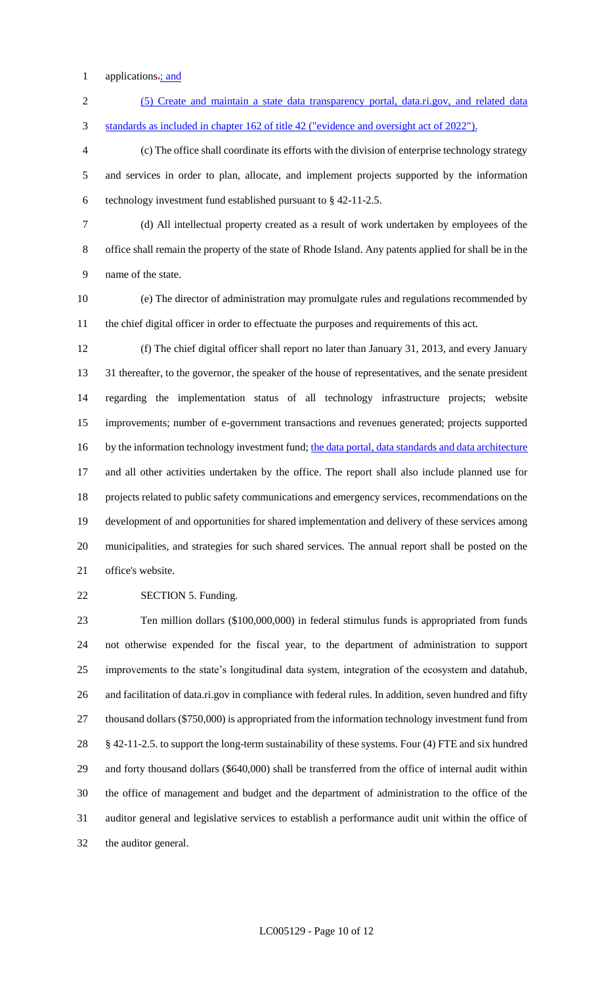1 applications: and

 (5) Create and maintain a state data transparency portal, data.ri.gov, and related data standards as included in chapter 162 of title 42 ("evidence and oversight act of 2022").

 (c) The office shall coordinate its efforts with the division of enterprise technology strategy and services in order to plan, allocate, and implement projects supported by the information technology investment fund established pursuant to § 42-11-2.5.

 (d) All intellectual property created as a result of work undertaken by employees of the office shall remain the property of the state of Rhode Island. Any patents applied for shall be in the name of the state.

 (e) The director of administration may promulgate rules and regulations recommended by the chief digital officer in order to effectuate the purposes and requirements of this act.

 (f) The chief digital officer shall report no later than January 31, 2013, and every January 31 thereafter, to the governor, the speaker of the house of representatives, and the senate president regarding the implementation status of all technology infrastructure projects; website improvements; number of e-government transactions and revenues generated; projects supported 16 by the information technology investment fund; the data portal, data standards and data architecture and all other activities undertaken by the office. The report shall also include planned use for projects related to public safety communications and emergency services, recommendations on the development of and opportunities for shared implementation and delivery of these services among municipalities, and strategies for such shared services. The annual report shall be posted on the office's website.

**SECTION 5. Funding.** 

 Ten million dollars (\$100,000,000) in federal stimulus funds is appropriated from funds not otherwise expended for the fiscal year, to the department of administration to support improvements to the state's longitudinal data system, integration of the ecosystem and datahub, 26 and facilitation of data.ri.gov in compliance with federal rules. In addition, seven hundred and fifty 27 thousand dollars (\$750,000) is appropriated from the information technology investment fund from § 42-11-2.5. to support the long-term sustainability of these systems. Four (4) FTE and six hundred and forty thousand dollars (\$640,000) shall be transferred from the office of internal audit within the office of management and budget and the department of administration to the office of the auditor general and legislative services to establish a performance audit unit within the office of the auditor general.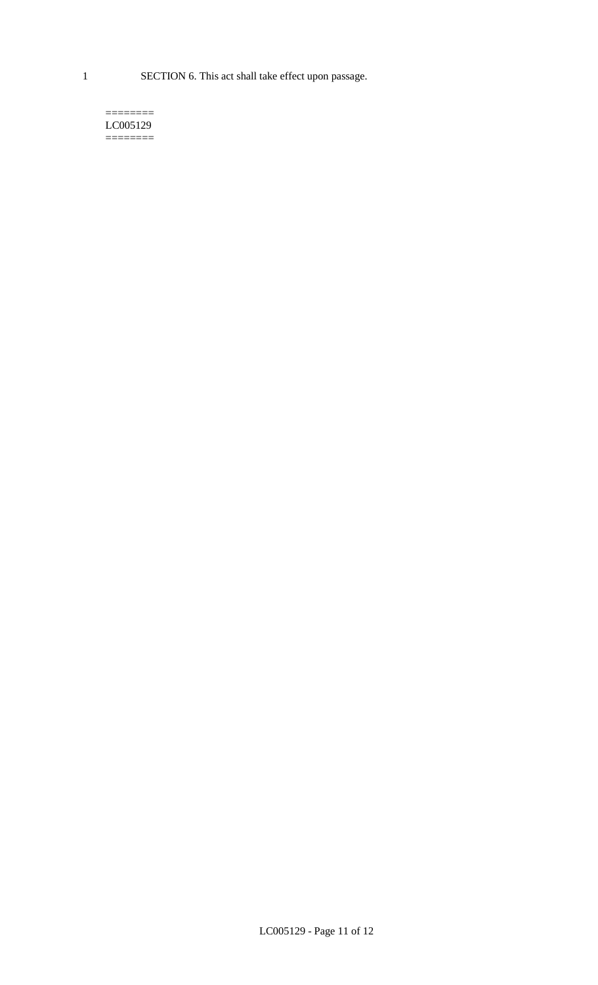1 SECTION 6. This act shall take effect upon passage.

#### $=$ LC005129  $=$